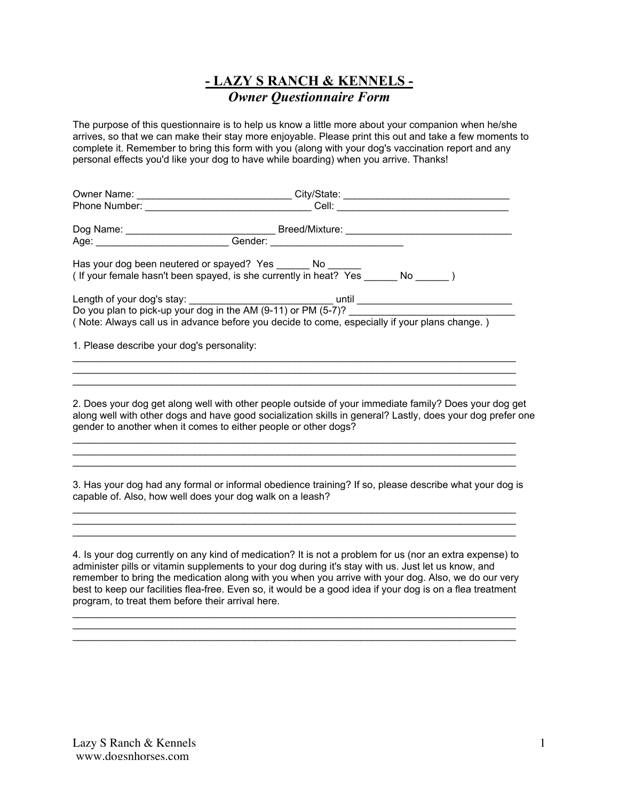## **- LAZY S RANCH & KENNELS -** *Owner Questionnaire Form*

The purpose of this questionnaire is to help us know a little more about your companion when he/she arrives, so that we can make their stay more enjoyable. Please print this out and take a few moments to complete it. Remember to bring this form with you (along with your dog's vaccination report and any personal effects you'd like your dog to have while boarding) when you arrive. Thanks!

|                                                                                               | City/State: 2000                                                                                                                    |  |
|-----------------------------------------------------------------------------------------------|-------------------------------------------------------------------------------------------------------------------------------------|--|
|                                                                                               | <b>Cell: Cell</b> : <b>Cell</b>                                                                                                     |  |
|                                                                                               | Breed/Mixture: ________________                                                                                                     |  |
|                                                                                               | Gender: <u>__________________</u>                                                                                                   |  |
|                                                                                               | Has your dog been neutered or spayed? Yes _______ No ____<br>(If your female hasn't been spayed, is she currently in heat? Yes No ) |  |
|                                                                                               |                                                                                                                                     |  |
|                                                                                               | Do you plan to pick-up your dog in the AM (9-11) or PM (5-7)?                                                                       |  |
| (Note: Always call us in advance before you decide to come, especially if your plans change.) |                                                                                                                                     |  |

1. Please describe your dog's personality:

2. Does your dog get along well with other people outside of your immediate family? Does your dog get along well with other dogs and have good socialization skills in general? Lastly, does your dog prefer one gender to another when it comes to either people or other dogs?

 $\mathcal{L}_\mathcal{L} = \{ \mathcal{L}_\mathcal{L} = \{ \mathcal{L}_\mathcal{L} = \{ \mathcal{L}_\mathcal{L} = \{ \mathcal{L}_\mathcal{L} = \{ \mathcal{L}_\mathcal{L} = \{ \mathcal{L}_\mathcal{L} = \{ \mathcal{L}_\mathcal{L} = \{ \mathcal{L}_\mathcal{L} = \{ \mathcal{L}_\mathcal{L} = \{ \mathcal{L}_\mathcal{L} = \{ \mathcal{L}_\mathcal{L} = \{ \mathcal{L}_\mathcal{L} = \{ \mathcal{L}_\mathcal{L} = \{ \mathcal{L}_\mathcal{$  $\mathcal{L}_\text{max}$  , and the contribution of the contribution of the contribution of the contribution of the contribution of the contribution of the contribution of the contribution of the contribution of the contribution of t  $\mathcal{L}_\mathcal{L} = \{ \mathcal{L}_\mathcal{L} = \{ \mathcal{L}_\mathcal{L} = \{ \mathcal{L}_\mathcal{L} = \{ \mathcal{L}_\mathcal{L} = \{ \mathcal{L}_\mathcal{L} = \{ \mathcal{L}_\mathcal{L} = \{ \mathcal{L}_\mathcal{L} = \{ \mathcal{L}_\mathcal{L} = \{ \mathcal{L}_\mathcal{L} = \{ \mathcal{L}_\mathcal{L} = \{ \mathcal{L}_\mathcal{L} = \{ \mathcal{L}_\mathcal{L} = \{ \mathcal{L}_\mathcal{L} = \{ \mathcal{L}_\mathcal{$ 

3. Has your dog had any formal or informal obedience training? If so, please describe what your dog is capable of. Also, how well does your dog walk on a leash?

 $\mathcal{L}_\text{max}$  , and the contribution of the contribution of the contribution of the contribution of the contribution of the contribution of the contribution of the contribution of the contribution of the contribution of t  $\mathcal{L}_\mathcal{L} = \mathcal{L}_\mathcal{L} = \mathcal{L}_\mathcal{L} = \mathcal{L}_\mathcal{L} = \mathcal{L}_\mathcal{L} = \mathcal{L}_\mathcal{L} = \mathcal{L}_\mathcal{L} = \mathcal{L}_\mathcal{L} = \mathcal{L}_\mathcal{L} = \mathcal{L}_\mathcal{L} = \mathcal{L}_\mathcal{L} = \mathcal{L}_\mathcal{L} = \mathcal{L}_\mathcal{L} = \mathcal{L}_\mathcal{L} = \mathcal{L}_\mathcal{L} = \mathcal{L}_\mathcal{L} = \mathcal{L}_\mathcal{L}$  $\mathcal{L}_\mathcal{L} = \{ \mathcal{L}_\mathcal{L} = \{ \mathcal{L}_\mathcal{L} = \{ \mathcal{L}_\mathcal{L} = \{ \mathcal{L}_\mathcal{L} = \{ \mathcal{L}_\mathcal{L} = \{ \mathcal{L}_\mathcal{L} = \{ \mathcal{L}_\mathcal{L} = \{ \mathcal{L}_\mathcal{L} = \{ \mathcal{L}_\mathcal{L} = \{ \mathcal{L}_\mathcal{L} = \{ \mathcal{L}_\mathcal{L} = \{ \mathcal{L}_\mathcal{L} = \{ \mathcal{L}_\mathcal{L} = \{ \mathcal{L}_\mathcal{$ 

 $\mathcal{L}_\mathcal{L} = \{ \mathcal{L}_\mathcal{L} = \{ \mathcal{L}_\mathcal{L} = \{ \mathcal{L}_\mathcal{L} = \{ \mathcal{L}_\mathcal{L} = \{ \mathcal{L}_\mathcal{L} = \{ \mathcal{L}_\mathcal{L} = \{ \mathcal{L}_\mathcal{L} = \{ \mathcal{L}_\mathcal{L} = \{ \mathcal{L}_\mathcal{L} = \{ \mathcal{L}_\mathcal{L} = \{ \mathcal{L}_\mathcal{L} = \{ \mathcal{L}_\mathcal{L} = \{ \mathcal{L}_\mathcal{L} = \{ \mathcal{L}_\mathcal{$  $\mathcal{L}_\mathcal{L}$  , and the set of the set of the set of the set of the set of the set of the set of the set of the set of the set of the set of the set of the set of the set of the set of the set of the set of the set of th

\_\_\_\_\_\_\_\_\_\_\_\_\_\_\_\_\_\_\_\_\_\_\_\_\_\_\_\_\_\_\_\_\_\_\_\_\_\_\_\_\_\_\_\_\_\_\_\_\_\_\_\_\_\_\_\_\_\_\_\_\_\_\_\_\_\_\_\_\_\_\_\_\_\_\_\_\_\_\_\_

4. Is your dog currently on any kind of medication? It is not a problem for us (nor an extra expense) to administer pills or vitamin supplements to your dog during it's stay with us. Just let us know, and remember to bring the medication along with you when you arrive with your dog. Also, we do our very best to keep our facilities flea-free. Even so, it would be a good idea if your dog is on a flea treatment program, to treat them before their arrival here.

 $\mathcal{L}_\mathcal{L} = \{ \mathcal{L}_\mathcal{L} = \{ \mathcal{L}_\mathcal{L} = \{ \mathcal{L}_\mathcal{L} = \{ \mathcal{L}_\mathcal{L} = \{ \mathcal{L}_\mathcal{L} = \{ \mathcal{L}_\mathcal{L} = \{ \mathcal{L}_\mathcal{L} = \{ \mathcal{L}_\mathcal{L} = \{ \mathcal{L}_\mathcal{L} = \{ \mathcal{L}_\mathcal{L} = \{ \mathcal{L}_\mathcal{L} = \{ \mathcal{L}_\mathcal{L} = \{ \mathcal{L}_\mathcal{L} = \{ \mathcal{L}_\mathcal{$  $\mathcal{L}_\mathcal{L} = \{ \mathcal{L}_\mathcal{L} = \{ \mathcal{L}_\mathcal{L} = \{ \mathcal{L}_\mathcal{L} = \{ \mathcal{L}_\mathcal{L} = \{ \mathcal{L}_\mathcal{L} = \{ \mathcal{L}_\mathcal{L} = \{ \mathcal{L}_\mathcal{L} = \{ \mathcal{L}_\mathcal{L} = \{ \mathcal{L}_\mathcal{L} = \{ \mathcal{L}_\mathcal{L} = \{ \mathcal{L}_\mathcal{L} = \{ \mathcal{L}_\mathcal{L} = \{ \mathcal{L}_\mathcal{L} = \{ \mathcal{L}_\mathcal{$  $\mathcal{L}_\mathcal{L} = \{ \mathcal{L}_\mathcal{L} = \{ \mathcal{L}_\mathcal{L} = \{ \mathcal{L}_\mathcal{L} = \{ \mathcal{L}_\mathcal{L} = \{ \mathcal{L}_\mathcal{L} = \{ \mathcal{L}_\mathcal{L} = \{ \mathcal{L}_\mathcal{L} = \{ \mathcal{L}_\mathcal{L} = \{ \mathcal{L}_\mathcal{L} = \{ \mathcal{L}_\mathcal{L} = \{ \mathcal{L}_\mathcal{L} = \{ \mathcal{L}_\mathcal{L} = \{ \mathcal{L}_\mathcal{L} = \{ \mathcal{L}_\mathcal{$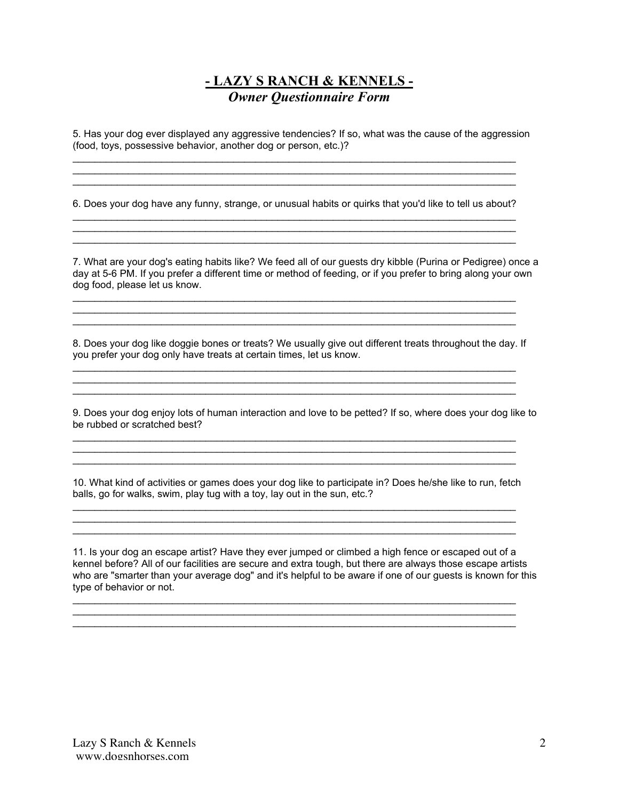## **- LAZY S RANCH & KENNELS -** *Owner Questionnaire Form*

5. Has your dog ever displayed any aggressive tendencies? If so, what was the cause of the aggression (food, toys, possessive behavior, another dog or person, etc.)?

6. Does your dog have any funny, strange, or unusual habits or quirks that you'd like to tell us about?

 $\mathcal{L}_\text{max}$  , and the contribution of the contribution of the contribution of the contribution of the contribution of the contribution of the contribution of the contribution of the contribution of the contribution of t  $\mathcal{L}_\mathcal{L} = \{ \mathcal{L}_\mathcal{L} = \{ \mathcal{L}_\mathcal{L} = \{ \mathcal{L}_\mathcal{L} = \{ \mathcal{L}_\mathcal{L} = \{ \mathcal{L}_\mathcal{L} = \{ \mathcal{L}_\mathcal{L} = \{ \mathcal{L}_\mathcal{L} = \{ \mathcal{L}_\mathcal{L} = \{ \mathcal{L}_\mathcal{L} = \{ \mathcal{L}_\mathcal{L} = \{ \mathcal{L}_\mathcal{L} = \{ \mathcal{L}_\mathcal{L} = \{ \mathcal{L}_\mathcal{L} = \{ \mathcal{L}_\mathcal{$  $\mathcal{L}_\mathcal{L} = \{ \mathcal{L}_\mathcal{L} = \{ \mathcal{L}_\mathcal{L} = \{ \mathcal{L}_\mathcal{L} = \{ \mathcal{L}_\mathcal{L} = \{ \mathcal{L}_\mathcal{L} = \{ \mathcal{L}_\mathcal{L} = \{ \mathcal{L}_\mathcal{L} = \{ \mathcal{L}_\mathcal{L} = \{ \mathcal{L}_\mathcal{L} = \{ \mathcal{L}_\mathcal{L} = \{ \mathcal{L}_\mathcal{L} = \{ \mathcal{L}_\mathcal{L} = \{ \mathcal{L}_\mathcal{L} = \{ \mathcal{L}_\mathcal{$ 

7. What are your dog's eating habits like? We feed all of our guests dry kibble (Purina or Pedigree) once a day at 5-6 PM. If you prefer a different time or method of feeding, or if you prefer to bring along your own dog food, please let us know.

 $\mathcal{L}_\text{max}$  , and the contribution of the contribution of the contribution of the contribution of the contribution of the contribution of the contribution of the contribution of the contribution of the contribution of t  $\mathcal{L}_\mathcal{L} = \{ \mathcal{L}_\mathcal{L} = \{ \mathcal{L}_\mathcal{L} = \{ \mathcal{L}_\mathcal{L} = \{ \mathcal{L}_\mathcal{L} = \{ \mathcal{L}_\mathcal{L} = \{ \mathcal{L}_\mathcal{L} = \{ \mathcal{L}_\mathcal{L} = \{ \mathcal{L}_\mathcal{L} = \{ \mathcal{L}_\mathcal{L} = \{ \mathcal{L}_\mathcal{L} = \{ \mathcal{L}_\mathcal{L} = \{ \mathcal{L}_\mathcal{L} = \{ \mathcal{L}_\mathcal{L} = \{ \mathcal{L}_\mathcal{$  $\mathcal{L}_\mathcal{L} = \{ \mathcal{L}_\mathcal{L} = \{ \mathcal{L}_\mathcal{L} = \{ \mathcal{L}_\mathcal{L} = \{ \mathcal{L}_\mathcal{L} = \{ \mathcal{L}_\mathcal{L} = \{ \mathcal{L}_\mathcal{L} = \{ \mathcal{L}_\mathcal{L} = \{ \mathcal{L}_\mathcal{L} = \{ \mathcal{L}_\mathcal{L} = \{ \mathcal{L}_\mathcal{L} = \{ \mathcal{L}_\mathcal{L} = \{ \mathcal{L}_\mathcal{L} = \{ \mathcal{L}_\mathcal{L} = \{ \mathcal{L}_\mathcal{$ 

\_\_\_\_\_\_\_\_\_\_\_\_\_\_\_\_\_\_\_\_\_\_\_\_\_\_\_\_\_\_\_\_\_\_\_\_\_\_\_\_\_\_\_\_\_\_\_\_\_\_\_\_\_\_\_\_\_\_\_\_\_\_\_\_\_\_\_\_\_\_\_\_\_\_\_\_\_\_\_\_  $\mathcal{L}_\mathcal{L} = \{ \mathcal{L}_\mathcal{L} = \{ \mathcal{L}_\mathcal{L} = \{ \mathcal{L}_\mathcal{L} = \{ \mathcal{L}_\mathcal{L} = \{ \mathcal{L}_\mathcal{L} = \{ \mathcal{L}_\mathcal{L} = \{ \mathcal{L}_\mathcal{L} = \{ \mathcal{L}_\mathcal{L} = \{ \mathcal{L}_\mathcal{L} = \{ \mathcal{L}_\mathcal{L} = \{ \mathcal{L}_\mathcal{L} = \{ \mathcal{L}_\mathcal{L} = \{ \mathcal{L}_\mathcal{L} = \{ \mathcal{L}_\mathcal{$ 

\_\_\_\_\_\_\_\_\_\_\_\_\_\_\_\_\_\_\_\_\_\_\_\_\_\_\_\_\_\_\_\_\_\_\_\_\_\_\_\_\_\_\_\_\_\_\_\_\_\_\_\_\_\_\_\_\_\_\_\_\_\_\_\_\_\_\_\_\_\_\_\_\_\_\_\_\_\_\_\_

8. Does your dog like doggie bones or treats? We usually give out different treats throughout the day. If you prefer your dog only have treats at certain times, let us know.

 $\mathcal{L}_\mathcal{L} = \{ \mathcal{L}_\mathcal{L} = \{ \mathcal{L}_\mathcal{L} = \{ \mathcal{L}_\mathcal{L} = \{ \mathcal{L}_\mathcal{L} = \{ \mathcal{L}_\mathcal{L} = \{ \mathcal{L}_\mathcal{L} = \{ \mathcal{L}_\mathcal{L} = \{ \mathcal{L}_\mathcal{L} = \{ \mathcal{L}_\mathcal{L} = \{ \mathcal{L}_\mathcal{L} = \{ \mathcal{L}_\mathcal{L} = \{ \mathcal{L}_\mathcal{L} = \{ \mathcal{L}_\mathcal{L} = \{ \mathcal{L}_\mathcal{$  $\mathcal{L}_\mathcal{L} = \{ \mathcal{L}_\mathcal{L} = \{ \mathcal{L}_\mathcal{L} = \{ \mathcal{L}_\mathcal{L} = \{ \mathcal{L}_\mathcal{L} = \{ \mathcal{L}_\mathcal{L} = \{ \mathcal{L}_\mathcal{L} = \{ \mathcal{L}_\mathcal{L} = \{ \mathcal{L}_\mathcal{L} = \{ \mathcal{L}_\mathcal{L} = \{ \mathcal{L}_\mathcal{L} = \{ \mathcal{L}_\mathcal{L} = \{ \mathcal{L}_\mathcal{L} = \{ \mathcal{L}_\mathcal{L} = \{ \mathcal{L}_\mathcal{$ 

 $\mathcal{L}_\text{max}$  , and the contribution of the contribution of the contribution of the contribution of the contribution of the contribution of the contribution of the contribution of the contribution of the contribution of t  $\mathcal{L}_\mathcal{L} = \{ \mathcal{L}_\mathcal{L} = \{ \mathcal{L}_\mathcal{L} = \{ \mathcal{L}_\mathcal{L} = \{ \mathcal{L}_\mathcal{L} = \{ \mathcal{L}_\mathcal{L} = \{ \mathcal{L}_\mathcal{L} = \{ \mathcal{L}_\mathcal{L} = \{ \mathcal{L}_\mathcal{L} = \{ \mathcal{L}_\mathcal{L} = \{ \mathcal{L}_\mathcal{L} = \{ \mathcal{L}_\mathcal{L} = \{ \mathcal{L}_\mathcal{L} = \{ \mathcal{L}_\mathcal{L} = \{ \mathcal{L}_\mathcal{$ 

9. Does your dog enjoy lots of human interaction and love to be petted? If so, where does your dog like to be rubbed or scratched best?

10. What kind of activities or games does your dog like to participate in? Does he/she like to run, fetch balls, go for walks, swim, play tug with a toy, lay out in the sun, etc.?  $\mathcal{L}_\mathcal{L} = \{ \mathcal{L}_\mathcal{L} = \{ \mathcal{L}_\mathcal{L} = \{ \mathcal{L}_\mathcal{L} = \{ \mathcal{L}_\mathcal{L} = \{ \mathcal{L}_\mathcal{L} = \{ \mathcal{L}_\mathcal{L} = \{ \mathcal{L}_\mathcal{L} = \{ \mathcal{L}_\mathcal{L} = \{ \mathcal{L}_\mathcal{L} = \{ \mathcal{L}_\mathcal{L} = \{ \mathcal{L}_\mathcal{L} = \{ \mathcal{L}_\mathcal{L} = \{ \mathcal{L}_\mathcal{L} = \{ \mathcal{L}_\mathcal{$ 

 $\mathcal{L}_\mathcal{L} = \{ \mathcal{L}_\mathcal{L} = \{ \mathcal{L}_\mathcal{L} = \{ \mathcal{L}_\mathcal{L} = \{ \mathcal{L}_\mathcal{L} = \{ \mathcal{L}_\mathcal{L} = \{ \mathcal{L}_\mathcal{L} = \{ \mathcal{L}_\mathcal{L} = \{ \mathcal{L}_\mathcal{L} = \{ \mathcal{L}_\mathcal{L} = \{ \mathcal{L}_\mathcal{L} = \{ \mathcal{L}_\mathcal{L} = \{ \mathcal{L}_\mathcal{L} = \{ \mathcal{L}_\mathcal{L} = \{ \mathcal{L}_\mathcal{$  $\mathcal{L}_\text{max}$  , and the contribution of the contribution of the contribution of the contribution of the contribution of the contribution of the contribution of the contribution of the contribution of the contribution of t

 $\mathcal{L}_\mathcal{L} = \{ \mathcal{L}_\mathcal{L} = \{ \mathcal{L}_\mathcal{L} = \{ \mathcal{L}_\mathcal{L} = \{ \mathcal{L}_\mathcal{L} = \{ \mathcal{L}_\mathcal{L} = \{ \mathcal{L}_\mathcal{L} = \{ \mathcal{L}_\mathcal{L} = \{ \mathcal{L}_\mathcal{L} = \{ \mathcal{L}_\mathcal{L} = \{ \mathcal{L}_\mathcal{L} = \{ \mathcal{L}_\mathcal{L} = \{ \mathcal{L}_\mathcal{L} = \{ \mathcal{L}_\mathcal{L} = \{ \mathcal{L}_\mathcal{$ \_\_\_\_\_\_\_\_\_\_\_\_\_\_\_\_\_\_\_\_\_\_\_\_\_\_\_\_\_\_\_\_\_\_\_\_\_\_\_\_\_\_\_\_\_\_\_\_\_\_\_\_\_\_\_\_\_\_\_\_\_\_\_\_\_\_\_\_\_\_\_\_\_\_\_\_\_\_\_\_  $\mathcal{L}_\text{max}$ 

11. Is your dog an escape artist? Have they ever jumped or climbed a high fence or escaped out of a kennel before? All of our facilities are secure and extra tough, but there are always those escape artists who are "smarter than your average dog" and it's helpful to be aware if one of our guests is known for this type of behavior or not.